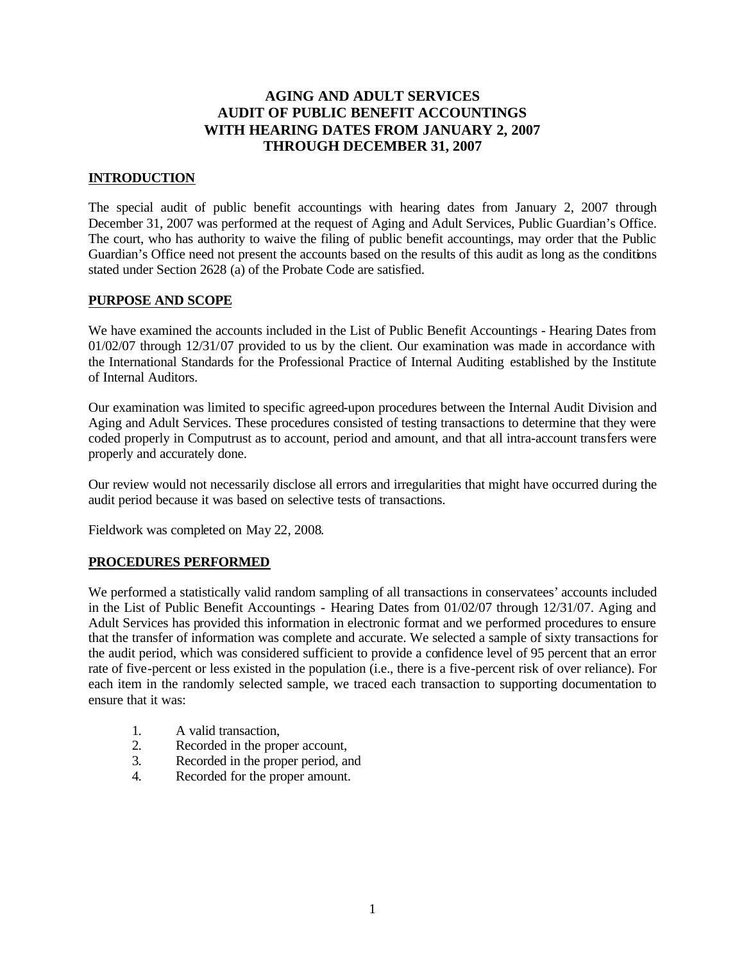# **AGING AND ADULT SERVICES AUDIT OF PUBLIC BENEFIT ACCOUNTINGS WITH HEARING DATES FROM JANUARY 2, 2007 THROUGH DECEMBER 31, 2007**

## **INTRODUCTION**

The special audit of public benefit accountings with hearing dates from January 2, 2007 through December 31, 2007 was performed at the request of Aging and Adult Services, Public Guardian's Office. The court, who has authority to waive the filing of public benefit accountings, may order that the Public Guardian's Office need not present the accounts based on the results of this audit as long as the conditions stated under Section 2628 (a) of the Probate Code are satisfied.

#### **PURPOSE AND SCOPE**

We have examined the accounts included in the List of Public Benefit Accountings - Hearing Dates from 01/02/07 through 12/31/07 provided to us by the client. Our examination was made in accordance with the International Standards for the Professional Practice of Internal Auditing established by the Institute of Internal Auditors.

Our examination was limited to specific agreed-upon procedures between the Internal Audit Division and Aging and Adult Services. These procedures consisted of testing transactions to determine that they were coded properly in Computrust as to account, period and amount, and that all intra-account transfers were properly and accurately done.

Our review would not necessarily disclose all errors and irregularities that might have occurred during the audit period because it was based on selective tests of transactions.

Fieldwork was completed on May 22, 2008.

#### **PROCEDURES PERFORMED**

We performed a statistically valid random sampling of all transactions in conservatees' accounts included in the List of Public Benefit Accountings - Hearing Dates from 01/02/07 through 12/31/07. Aging and Adult Services has provided this information in electronic format and we performed procedures to ensure that the transfer of information was complete and accurate. We selected a sample of sixty transactions for the audit period, which was considered sufficient to provide a confidence level of 95 percent that an error rate of five-percent or less existed in the population (i.e., there is a five-percent risk of over reliance). For each item in the randomly selected sample, we traced each transaction to supporting documentation to ensure that it was:

- 1. A valid transaction,
- 2. Recorded in the proper account,
- 3. Recorded in the proper period, and
- 4. Recorded for the proper amount.